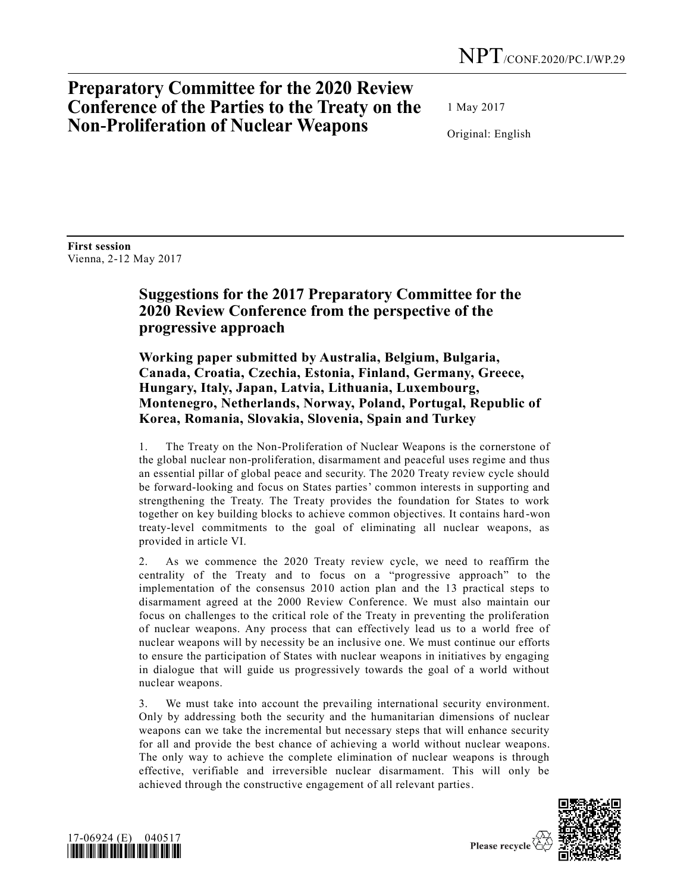## **Preparatory Committee for the 2020 Review Conference of the Parties to the Treaty on the Non-Proliferation of Nuclear Weapons**

1 May 2017

Original: English

**First session** Vienna, 2-12 May 2017

## **Suggestions for the 2017 Preparatory Committee for the 2020 Review Conference from the perspective of the progressive approach**

**Working paper submitted by Australia, Belgium, Bulgaria, Canada, Croatia, Czechia, Estonia, Finland, Germany, Greece, Hungary, Italy, Japan, Latvia, Lithuania, Luxembourg, Montenegro, Netherlands, Norway, Poland, Portugal, Republic of Korea, Romania, Slovakia, Slovenia, Spain and Turkey**

1. The Treaty on the Non-Proliferation of Nuclear Weapons is the cornerstone of the global nuclear non-proliferation, disarmament and peaceful uses regime and thus an essential pillar of global peace and security. The 2020 Treaty review cycle should be forward-looking and focus on States parties' common interests in supporting and strengthening the Treaty. The Treaty provides the foundation for States to work together on key building blocks to achieve common objectives. It contains hard -won treaty-level commitments to the goal of eliminating all nuclear weapons, as provided in article VI.

2. As we commence the 2020 Treaty review cycle, we need to reaffirm the centrality of the Treaty and to focus on a "progressive approach" to the implementation of the consensus 2010 action plan and the 13 practical steps to disarmament agreed at the 2000 Review Conference. We must also maintain our focus on challenges to the critical role of the Treaty in preventing the proliferation of nuclear weapons. Any process that can effectively lead us to a world free of nuclear weapons will by necessity be an inclusive one. We must continue our efforts to ensure the participation of States with nuclear weapons in initiatives by engaging in dialogue that will guide us progressively towards the goal of a world without nuclear weapons.

3. We must take into account the prevailing international security environment. Only by addressing both the security and the humanitarian dimensions of nuclear weapons can we take the incremental but necessary steps that will enhance security for all and provide the best chance of achieving a world without nuclear weapons. The only way to achieve the complete elimination of nuclear weapons is through effective, verifiable and irreversible nuclear disarmament. This will only be achieved through the constructive engagement of all relevant parties.